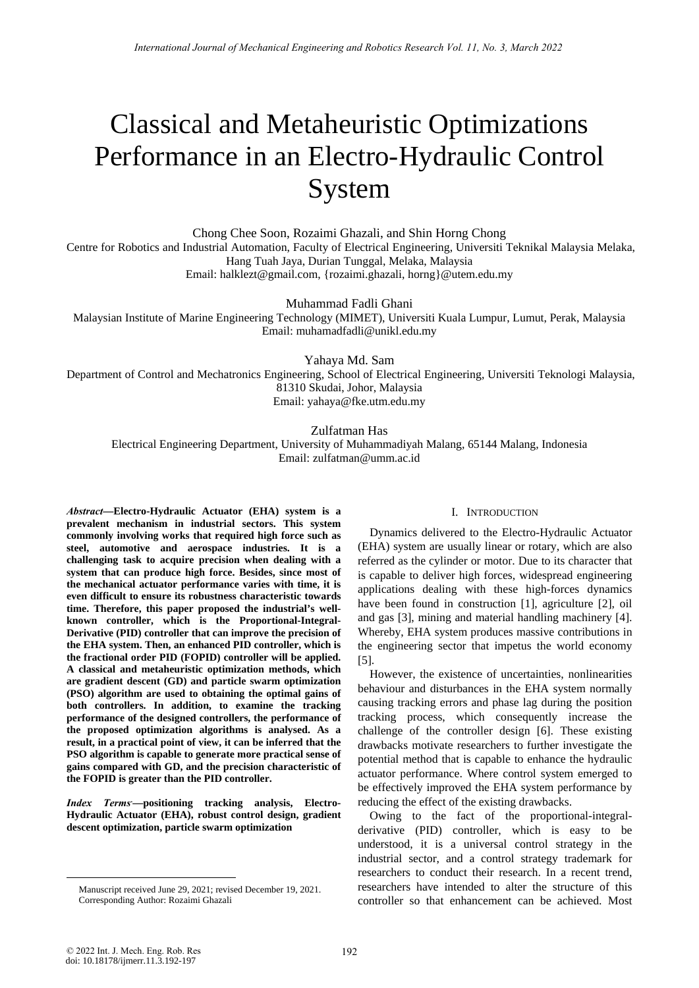# Classical and Metaheuristic Optimizations Performance in an Electro-Hydraulic Control System

Chong Chee Soon, Rozaimi Ghazali, and Shin Horng Chong Centre for Robotics and Industrial Automation, Faculty of Electrical Engineering, Universiti Teknikal Malaysia Melaka, Hang Tuah Jaya, Durian Tunggal, Melaka, Malaysia Email: halklezt@gmail.com, {rozaimi.ghazali, horng}@utem.edu.my

Muhammad Fadli Ghani

Malaysian Institute of Marine Engineering Technology (MIMET), Universiti Kuala Lumpur, Lumut, Perak, Malaysia Email: muhamadfadli@unikl.edu.my

Yahaya Md. Sam

Department of Control and Mechatronics Engineering, School of Electrical Engineering, Universiti Teknologi Malaysia, 81310 Skudai, Johor, Malaysia Email: yahaya@fke.utm.edu.my

Zulfatman Has

Electrical Engineering Department, University of Muhammadiyah Malang, 65144 Malang, Indonesia Email: zulfatman@umm.ac.id

*Abstract***—Electro-Hydraulic Actuator (EHA) system is a prevalent mechanism in industrial sectors. This system commonly involving works that required high force such as steel, automotive and aerospace industries. It is a challenging task to acquire precision when dealing with a system that can produce high force. Besides, since most of the mechanical actuator performance varies with time, it is even difficult to ensure its robustness characteristic towards time. Therefore, this paper proposed the industrial's wellknown controller, which is the Proportional-Integral-Derivative (PID) controller that can improve the precision of the EHA system. Then, an enhanced PID controller, which is the fractional order PID (FOPID) controller will be applied. A classical and metaheuristic optimization methods, which are gradient descent (GD) and particle swarm optimization (PSO) algorithm are used to obtaining the optimal gains of both controllers. In addition, to examine the tracking performance of the designed controllers, the performance of the proposed optimization algorithms is analysed. As a result, in a practical point of view, it can be inferred that the PSO algorithm is capable to generate more practical sense of gains compared with GD, and the precision characteristic of the FOPID is greater than the PID controller.** 

*Index Terms***. —positioning tracking analysis, Electro-Hydraulic Actuator (EHA), robust control design, gradient descent optimization, particle swarm optimization**

## I. INTRODUCTION

Dynamics delivered to the Electro-Hydraulic Actuator (EHA) system are usually linear or rotary, which are also referred as the cylinder or motor. Due to its character that is capable to deliver high forces, widespread engineering applications dealing with these high-forces dynamics have been found in construction [1], agriculture [2], oil and gas [3], mining and material handling machinery [4]. Whereby, EHA system produces massive contributions in the engineering sector that impetus the world economy [5].

However, the existence of uncertainties, nonlinearities behaviour and disturbances in the EHA system normally causing tracking errors and phase lag during the position tracking process, which consequently increase the challenge of the controller design [6]. These existing drawbacks motivate researchers to further investigate the potential method that is capable to enhance the hydraulic actuator performance. Where control system emerged to be effectively improved the EHA system performance by reducing the effect of the existing drawbacks.

Owing to the fact of the proportional-integralderivative (PID) controller, which is easy to be understood, it is a universal control strategy in the industrial sector, and a control strategy trademark for researchers to conduct their research. In a recent trend, researchers have intended to alter the structure of this controller so that enhancement can be achieved. Most

 Manuscript received June 29, 2021; revised December 19, 2021. Corresponding Author: Rozaimi Ghazali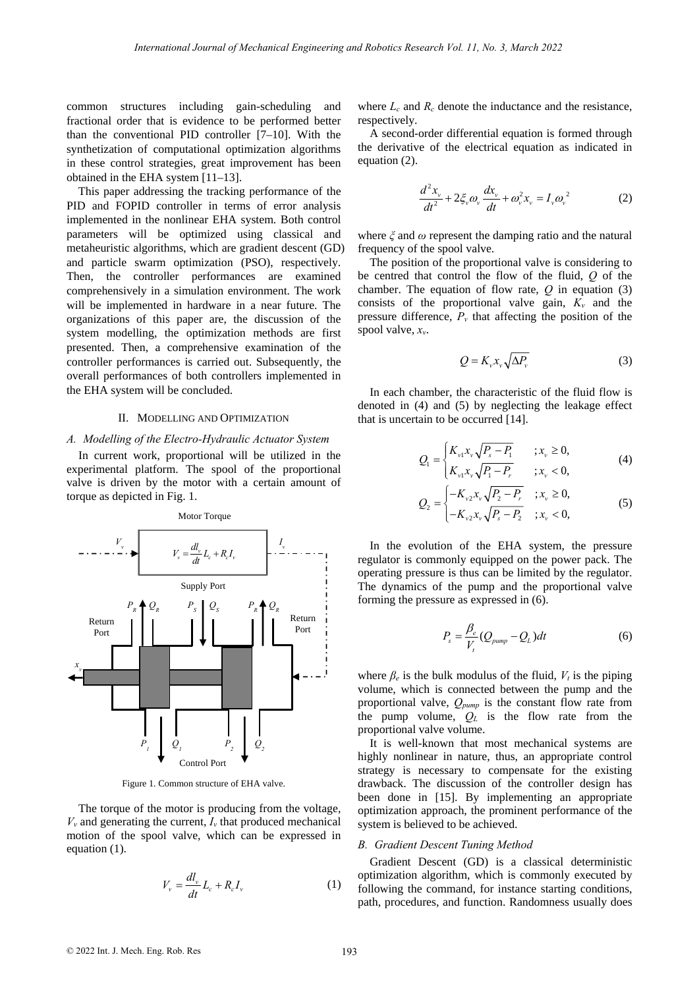common structures including gain-scheduling and fractional order that is evidence to be performed better than the conventional PID controller [7–10]. With the synthetization of computational optimization algorithms in these control strategies, great improvement has been obtained in the EHA system [11–13].

This paper addressing the tracking performance of the PID and FOPID controller in terms of error analysis implemented in the nonlinear EHA system. Both control parameters will be optimized using classical and metaheuristic algorithms, which are gradient descent (GD) and particle swarm optimization (PSO), respectively. Then, the controller performances are examined comprehensively in a simulation environment. The work will be implemented in hardware in a near future. The organizations of this paper are, the discussion of the system modelling, the optimization methods are first presented. Then, a comprehensive examination of the controller performances is carried out. Subsequently, the overall performances of both controllers implemented in the EHA system will be concluded.

### II. MODELLING AND OPTIMIZATION

#### *A. Modelling of the Electro-Hydraulic Actuator System*

In current work, proportional will be utilized in the experimental platform. The spool of the proportional valve is driven by the motor with a certain amount of torque as depicted in Fig. 1.



Figure 1. Common structure of EHA valve.

The torque of the motor is producing from the voltage,  $V<sub>v</sub>$  and generating the current,  $I<sub>v</sub>$  that produced mechanical motion of the spool valve, which can be expressed in equation (1).

$$
V_{\nu} = \frac{dl_{\nu}}{dt} L_c + R_c I_{\nu}
$$
 (1)

where  $L_c$  and  $R_c$  denote the inductance and the resistance, respectively.

A second-order differential equation is formed through the derivative of the electrical equation as indicated in equation (2).

$$
\frac{d^2x_v}{dt^2} + 2\xi_v \omega_v \frac{dx_v}{dt} + \omega_v^2 x_v = I_v \omega_v^2 \tag{2}
$$

where *ξ* and *ω* represent the damping ratio and the natural frequency of the spool valve.

The position of the proportional valve is considering to be centred that control the flow of the fluid, *Q* of the chamber. The equation of flow rate, *Q* in equation (3) consists of the proportional valve gain,  $K_v$  and the pressure difference,  $P<sub>v</sub>$  that affecting the position of the spool valve, *xv*.

$$
Q = K_{\nu} x_{\nu} \sqrt{\Delta P_{\nu}}
$$
 (3)

In each chamber, the characteristic of the fluid flow is denoted in (4) and (5) by neglecting the leakage effect that is uncertain to be occurred [14].

$$
Q_{1} = \begin{cases} K_{v1}x_{v}\sqrt{P_{s}-P_{1}} & ; x_{v} \ge 0, \\ K_{v1}x_{v}\sqrt{P_{1}-P_{r}} & ; x_{v} < 0, \end{cases}
$$
(4)

$$
Q_2 = \begin{cases} -K_{v2}x_v\sqrt{P_2 - P_r} & ; x_v \ge 0, \\ -K_{v2}x_v\sqrt{P_s - P_2} & ; x_v < 0, \end{cases}
$$
(5)

In the evolution of the EHA system, the pressure regulator is commonly equipped on the power pack. The operating pressure is thus can be limited by the regulator. The dynamics of the pump and the proportional valve forming the pressure as expressed in (6).

$$
P_s = \frac{\beta_e}{V_t} (Q_{pump} - Q_L) dt
$$
 (6)

where  $\beta_e$  is the bulk modulus of the fluid,  $V_t$  is the piping volume, which is connected between the pump and the proportional valve, *Qpump* is the constant flow rate from the pump volume, *QL* is the flow rate from the proportional valve volume.

It is well-known that most mechanical systems are highly nonlinear in nature, thus, an appropriate control strategy is necessary to compensate for the existing drawback. The discussion of the controller design has been done in [15]. By implementing an appropriate optimization approach, the prominent performance of the system is believed to be achieved.

#### *B. Gradient Descent Tuning Method*

Gradient Descent (GD) is a classical deterministic optimization algorithm, which is commonly executed by following the command, for instance starting conditions, path, procedures, and function. Randomness usually does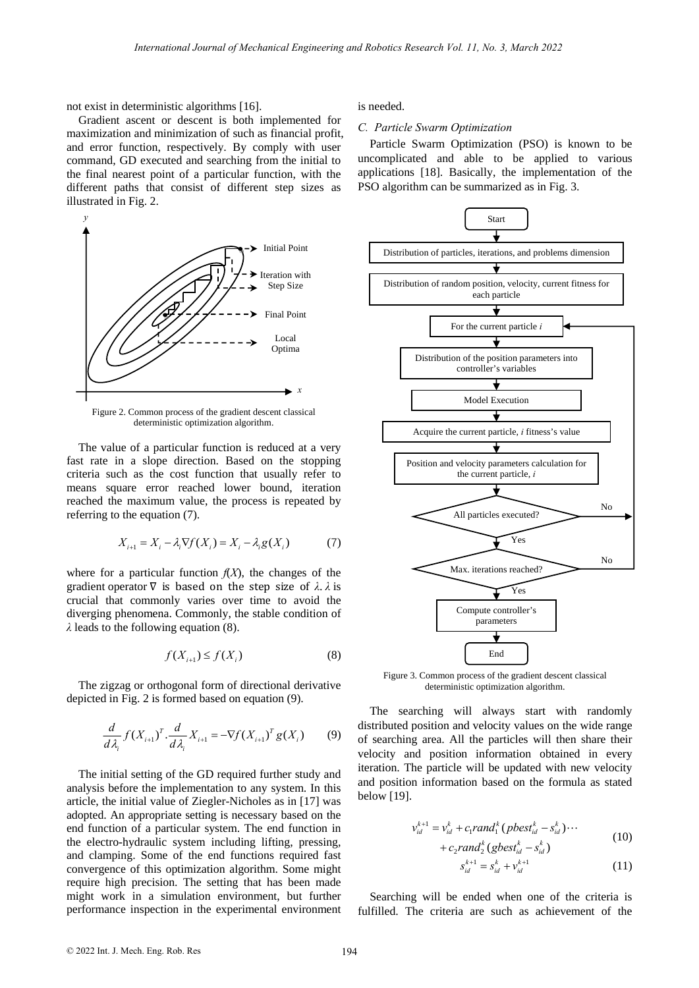not exist in deterministic algorithms [16].

Gradient ascent or descent is both implemented for maximization and minimization of such as financial profit, and error function, respectively. By comply with user command, GD executed and searching from the initial to the final nearest point of a particular function, with the different paths that consist of different step sizes as illustrated in Fig. 2.



Figure 2. Common process of the gradient descent classical deterministic optimization algorithm.

The value of a particular function is reduced at a very fast rate in a slope direction. Based on the stopping criteria such as the cost function that usually refer to means square error reached lower bound, iteration reached the maximum value, the process is repeated by referring to the equation (7).

$$
X_{i+1} = X_i - \lambda_i \nabla f(X_i) = X_i - \lambda_i g(X_i)
$$
 (7)

where for a particular function  $f(X)$ , the changes of the gradient operator  $\nabla$  is based on the step size of  $\lambda$ .  $\lambda$  is crucial that commonly varies over time to avoid the diverging phenomena. Commonly, the stable condition of *λ* leads to the following equation (8).

$$
f(X_{i+1}) \le f(X_i) \tag{8}
$$

The zigzag or orthogonal form of directional derivative depicted in Fig. 2 is formed based on equation (9).

$$
\frac{d}{d\lambda_i} f(X_{i+1})^T \cdot \frac{d}{d\lambda_i} X_{i+1} = -\nabla f(X_{i+1})^T g(X_i)
$$
 (9)

The initial setting of the GD required further study and analysis before the implementation to any system. In this article, the initial value of Ziegler-Nicholes as in [17] was adopted. An appropriate setting is necessary based on the end function of a particular system. The end function in the electro-hydraulic system including lifting, pressing, and clamping. Some of the end functions required fast convergence of this optimization algorithm. Some might require high precision. The setting that has been made might work in a simulation environment, but further performance inspection in the experimental environment is needed.

## *C. Particle Swarm Optimization*

Particle Swarm Optimization (PSO) is known to be uncomplicated and able to be applied to various applications [18]. Basically, the implementation of the PSO algorithm can be summarized as in Fig. 3.



Figure 3. Common process of the gradient descent classical deterministic optimization algorithm.

The searching will always start with randomly distributed position and velocity values on the wide range of searching area. All the particles will then share their velocity and position information obtained in every iteration. The particle will be updated with new velocity and position information based on the formula as stated below [19].

$$
v_{id}^{k+1} = v_{id}^k + c_1 rand_1^k (pbest_{id}^k - s_{id}^k) \cdots + c_2 rand_2^k (gbest_{id}^k - s_{id}^k)
$$
 (10)

$$
s_{id}^{k+1} = s_{id}^k + v_{id}^{k+1}
$$
 (11)

Searching will be ended when one of the criteria is fulfilled. The criteria are such as achievement of the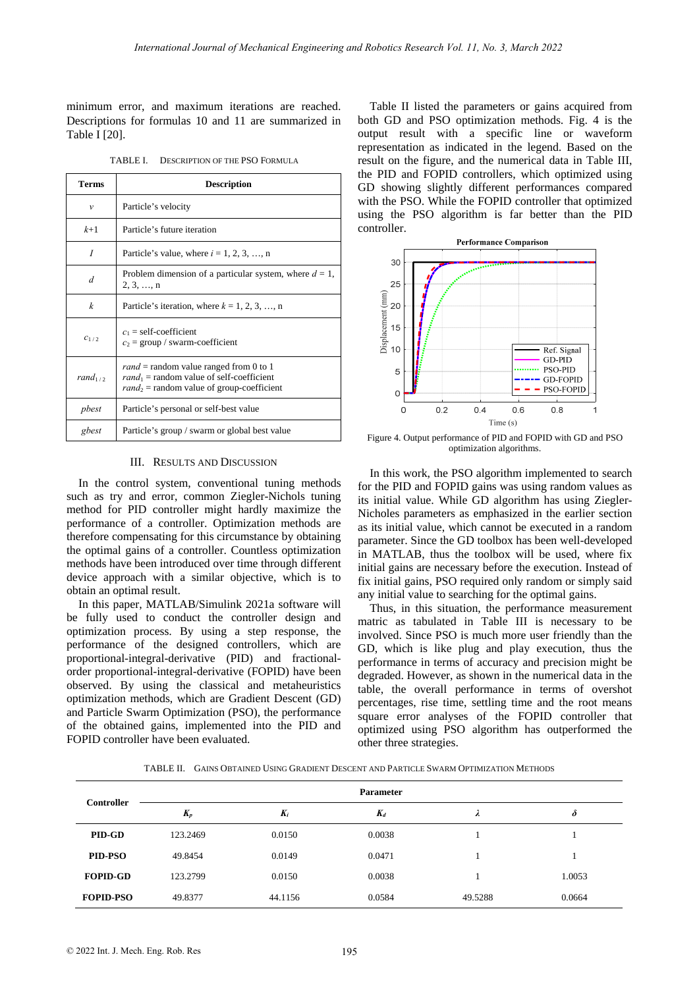minimum error, and maximum iterations are reached. Descriptions for formulas 10 and 11 are summarized in Table I [20].

| <b>Terms</b>       | <b>Description</b>                                                                                                                      |  |  |  |  |
|--------------------|-----------------------------------------------------------------------------------------------------------------------------------------|--|--|--|--|
| v                  | Particle's velocity                                                                                                                     |  |  |  |  |
| $k+1$              | Particle's future iteration                                                                                                             |  |  |  |  |
| I                  | Particle's value, where $i = 1, 2, 3, \dots, n$                                                                                         |  |  |  |  |
| $\overline{d}$     | Problem dimension of a particular system, where $d = 1$ ,<br>2, 3, , n                                                                  |  |  |  |  |
| k                  | Particle's iteration, where $k = 1, 2, 3, , n$                                                                                          |  |  |  |  |
| $c_{1/2}$          | $c_1$ = self-coefficient<br>$c_2$ = group / swarm-coefficient                                                                           |  |  |  |  |
| rand $\frac{1}{2}$ | $rand =$ random value ranged from 0 to 1<br>$rand_1$ = random value of self-coefficient<br>$rand_2$ = random value of group-coefficient |  |  |  |  |
| pbest              | Particle's personal or self-best value                                                                                                  |  |  |  |  |
| gbest              | Particle's group / swarm or global best value                                                                                           |  |  |  |  |

TABLE I. DESCRIPTION OF THE PSO FORMULA

# III. RESULTS AND DISCUSSION

In the control system, conventional tuning methods such as try and error, common Ziegler-Nichols tuning method for PID controller might hardly maximize the performance of a controller. Optimization methods are therefore compensating for this circumstance by obtaining the optimal gains of a controller. Countless optimization methods have been introduced over time through different device approach with a similar objective, which is to obtain an optimal result.

In this paper, MATLAB/Simulink 2021a software will be fully used to conduct the controller design and optimization process. By using a step response, the performance of the designed controllers, which are proportional-integral-derivative (PID) and fractionalorder proportional-integral-derivative (FOPID) have been observed. By using the classical and metaheuristics optimization methods, which are Gradient Descent (GD) and Particle Swarm Optimization (PSO), the performance of the obtained gains, implemented into the PID and FOPID controller have been evaluated.

Table II listed the parameters or gains acquired from both GD and PSO optimization methods. Fig. 4 is the output result with a specific line or waveform representation as indicated in the legend. Based on the result on the figure, and the numerical data in Table III, the PID and FOPID controllers, which optimized using GD showing slightly different performances compared with the PSO. While the FOPID controller that optimized using the PSO algorithm is far better than the PID controller.



Figure 4. Output performance of PID and FOPID with GD and PSO optimization algorithms.

In this work, the PSO algorithm implemented to search for the PID and FOPID gains was using random values as its initial value. While GD algorithm has using Ziegler-Nicholes parameters as emphasized in the earlier section as its initial value, which cannot be executed in a random parameter. Since the GD toolbox has been well-developed in MATLAB, thus the toolbox will be used, where fix initial gains are necessary before the execution. Instead of fix initial gains, PSO required only random or simply said any initial value to searching for the optimal gains.

Thus, in this situation, the performance measurement matric as tabulated in Table III is necessary to be involved. Since PSO is much more user friendly than the GD, which is like plug and play execution, thus the performance in terms of accuracy and precision might be degraded. However, as shown in the numerical data in the table, the overall performance in terms of overshot percentages, rise time, settling time and the root means square error analyses of the FOPID controller that optimized using PSO algorithm has outperformed the other three strategies.

TABLE II. GAINS OBTAINED USING GRADIENT DESCENT AND PARTICLE SWARM OPTIMIZATION METHODS

| Controller       | <b>Parameter</b> |         |        |         |          |  |
|------------------|------------------|---------|--------|---------|----------|--|
|                  | $K_p$            | $K_i$   | $K_d$  | v       | $\delta$ |  |
| PID-GD           | 123.2469         | 0.0150  | 0.0038 |         |          |  |
| PID-PSO          | 49.8454          | 0.0149  | 0.0471 |         |          |  |
| <b>FOPID-GD</b>  | 123.2799         | 0.0150  | 0.0038 |         | 1.0053   |  |
| <b>FOPID-PSO</b> | 49.8377          | 44.1156 | 0.0584 | 49.5288 | 0.0664   |  |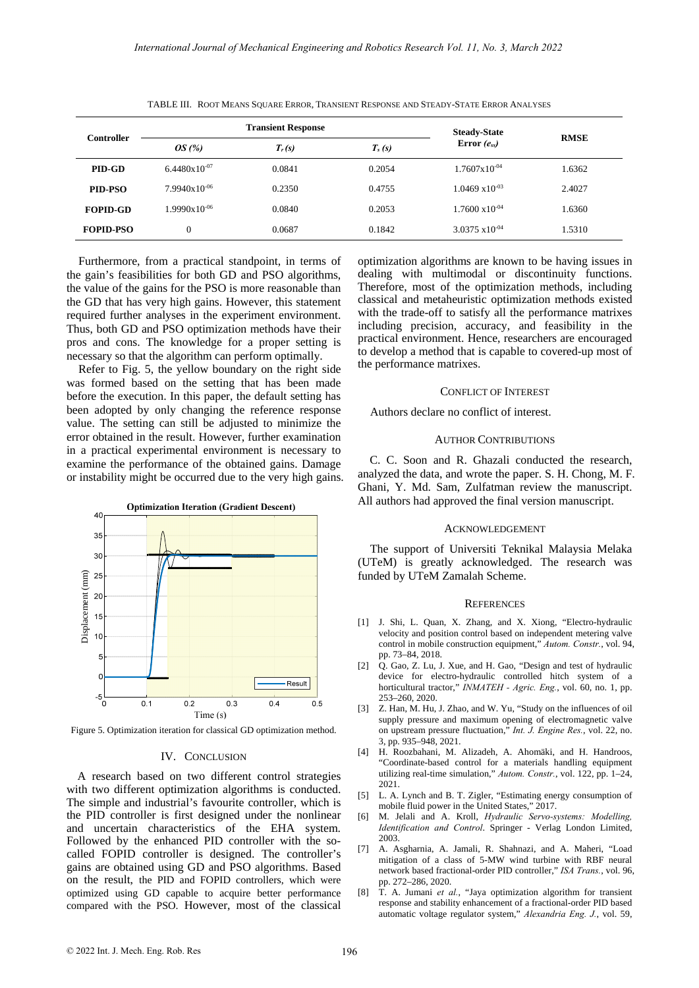| Controller       | <b>Transient Response</b> |          |          | <b>Steady-State</b>      |             |
|------------------|---------------------------|----------|----------|--------------------------|-------------|
|                  | OS(%)                     | $T_r(s)$ | $T_s(s)$ | Error $(e_{ss})$         | <b>RMSE</b> |
| PID-GD           | $6.4480 \times 10^{-07}$  | 0.0841   | 0.2054   | $1.7607 \times 10^{-04}$ | 1.6362      |
| PID-PSO          | $7.9940x10^{-06}$         | 0.2350   | 0.4755   | $1.0469 \times 10^{-03}$ | 2.4027      |
| <b>FOPID-GD</b>  | $1.9990x10^{-06}$         | 0.0840   | 0.2053   | $1.7600 \times 10^{-04}$ | 1.6360      |
| <b>FOPID-PSO</b> | $\overline{0}$            | 0.0687   | 0.1842   | $3.0375 \times 10^{-04}$ | 1.5310      |

TABLE III. ROOT MEANS SQUARE ERROR, TRANSIENT RESPONSE AND STEADY-STATE ERROR ANALYSES

Furthermore, from a practical standpoint, in terms of the gain's feasibilities for both GD and PSO algorithms, the value of the gains for the PSO is more reasonable than the GD that has very high gains. However, this statement required further analyses in the experiment environment. Thus, both GD and PSO optimization methods have their pros and cons. The knowledge for a proper setting is necessary so that the algorithm can perform optimally.

Refer to Fig. 5, the yellow boundary on the right side was formed based on the setting that has been made before the execution. In this paper, the default setting has been adopted by only changing the reference response value. The setting can still be adjusted to minimize the error obtained in the result. However, further examination in a practical experimental environment is necessary to examine the performance of the obtained gains. Damage or instability might be occurred due to the very high gains.



Figure 5. Optimization iteration for classical GD optimization method.

## IV. CONCLUSION

A research based on two different control strategies with two different optimization algorithms is conducted. The simple and industrial's favourite controller, which is the PID controller is first designed under the nonlinear and uncertain characteristics of the EHA system. Followed by the enhanced PID controller with the socalled FOPID controller is designed. The controller's gains are obtained using GD and PSO algorithms. Based on the result, the PID and FOPID controllers, which were optimized using GD capable to acquire better performance compared with the PSO. However, most of the classical optimization algorithms are known to be having issues in dealing with multimodal or discontinuity functions. Therefore, most of the optimization methods, including classical and metaheuristic optimization methods existed with the trade-off to satisfy all the performance matrixes including precision, accuracy, and feasibility in the practical environment. Hence, researchers are encouraged to develop a method that is capable to covered-up most of the performance matrixes.

## CONFLICT OF INTEREST

Authors declare no conflict of interest.

#### AUTHOR CONTRIBUTIONS

C. C. Soon and R. Ghazali conducted the research, analyzed the data, and wrote the paper. S. H. Chong, M. F. Ghani, Y. Md. Sam, Zulfatman review the manuscript. All authors had approved the final version manuscript.

#### ACKNOWLEDGEMENT

The support of Universiti Teknikal Malaysia Melaka (UTeM) is greatly acknowledged. The research was funded by UTeM Zamalah Scheme.

#### **REFERENCES**

- [1] J. Shi, L. Quan, X. Zhang, and X. Xiong, "Electro-hydraulic velocity and position control based on independent metering valve control in mobile construction equipment," *Autom. Constr.*, vol. 94, pp. 73–84, 2018.
- [2]  $\overrightarrow{O}$ . Gao, Z. Lu, J. Xue, and H. Gao, "Design and test of hydraulic device for electro-hydraulic controlled hitch system of a horticultural tractor," *INMATEH - Agric. Eng.*, vol. 60, no. 1, pp. 253–260, 2020.
- [3] Z. Han, M. Hu, J. Zhao, and W. Yu, "Study on the influences of oil supply pressure and maximum opening of electromagnetic valve on upstream pressure fluctuation," *Int. J. Engine Res.*, vol. 22, no. 3, pp. 935–948, 2021.
- [4] H. Roozbahani, M. Alizadeh, A. Ahomäki, and H. Handroos, "Coordinate-based control for a materials handling equipment utilizing real-time simulation," *Autom. Constr.*, vol. 122, pp. 1–24, 2021.
- [5] L. A. Lynch and B. T. Zigler, "Estimating energy consumption of mobile fluid power in the United States," 2017.
- [6] M. Jelali and A. Kroll, *Hydraulic Servo-systems: Modelling, Identification and Control*. Springer - Verlag London Limited, 2003.
- [7] A. Asgharnia, A. Jamali, R. Shahnazi, and A. Maheri, "Load mitigation of a class of 5-MW wind turbine with RBF neural network based fractional-order PID controller," *ISA Trans.*, vol. 96, pp. 272–286, 2020.
- [8] T. A. Jumani *et al.*, "Jaya optimization algorithm for transient response and stability enhancement of a fractional-order PID based automatic voltage regulator system," *Alexandria Eng. J.*, vol. 59,